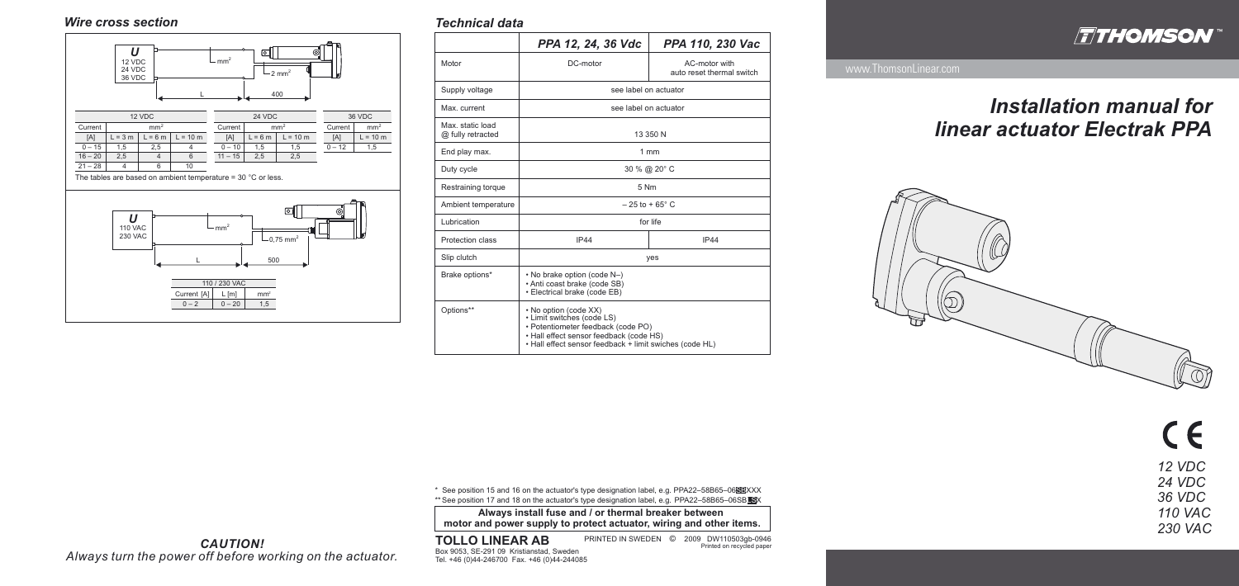# *Installation manual for linear actuator Electrak PPA*



 $C \in$ *12 VDC 24 VDC 36 VDC 110 VAC 230 VAC*

### *Technical data*

**Always install fuse and / or thermal breaker between motor and power supply to protect actuator, wiring and other items.**

### **TOLLO LINEAR AB** Box 9053, SE-291 09 Kristianstad, Sweden Tel. +46 (0)44-246700 Fax. +46 (0)44-244085

PRINTED IN SWEDEN 2009 DW110503gb-0946 © Printed on recycled paper

|                                       | PPA 12, 24, 36 Vdc                                                                                                                                                                              | PPA 110, 230 Vac                           |
|---------------------------------------|-------------------------------------------------------------------------------------------------------------------------------------------------------------------------------------------------|--------------------------------------------|
| Motor                                 | DC-motor                                                                                                                                                                                        | AC-motor with<br>auto reset thermal switch |
| Supply voltage                        | see label on actuator                                                                                                                                                                           |                                            |
| Max. current                          | see label on actuator                                                                                                                                                                           |                                            |
| Max. static load<br>@ fully retracted | 13 350 N                                                                                                                                                                                        |                                            |
| End play max.                         | 1mm                                                                                                                                                                                             |                                            |
| Duty cycle                            | 30 % @ 20° C                                                                                                                                                                                    |                                            |
| Restraining torque                    | 5 Nm                                                                                                                                                                                            |                                            |
| Ambient temperature                   | $-25$ to +65 $^{\circ}$ C                                                                                                                                                                       |                                            |
| Lubrication                           | for life                                                                                                                                                                                        |                                            |
| Protection class                      | IP44                                                                                                                                                                                            | IP44                                       |
| Slip clutch                           | yes                                                                                                                                                                                             |                                            |
| Brake options*                        | • No brake option (code N-)<br>• Anti coast brake (code SB)<br>• Electrical brake (code EB)                                                                                                     |                                            |
| Options**                             | • No option (code XX)<br>• Limit switches (code LS)<br>· Potentiometer feedback (code PO)<br>• Hall effect sensor feedback (code HS)<br>. Hall effect sensor feedback + limit swiches (code HL) |                                            |

 $^\ast\,$  See position 15 and 16 on the actuator's type designation label, e.g. PPA22–58B65–06 $\blacksquare$ XXX \*\* See position 17 and 18 on the actuator's type designation label, e.g. PPA22–58B65–06SBLSX

*CAUTION! Always turn the power off before working on the actuator.*



### *Wire cross section*